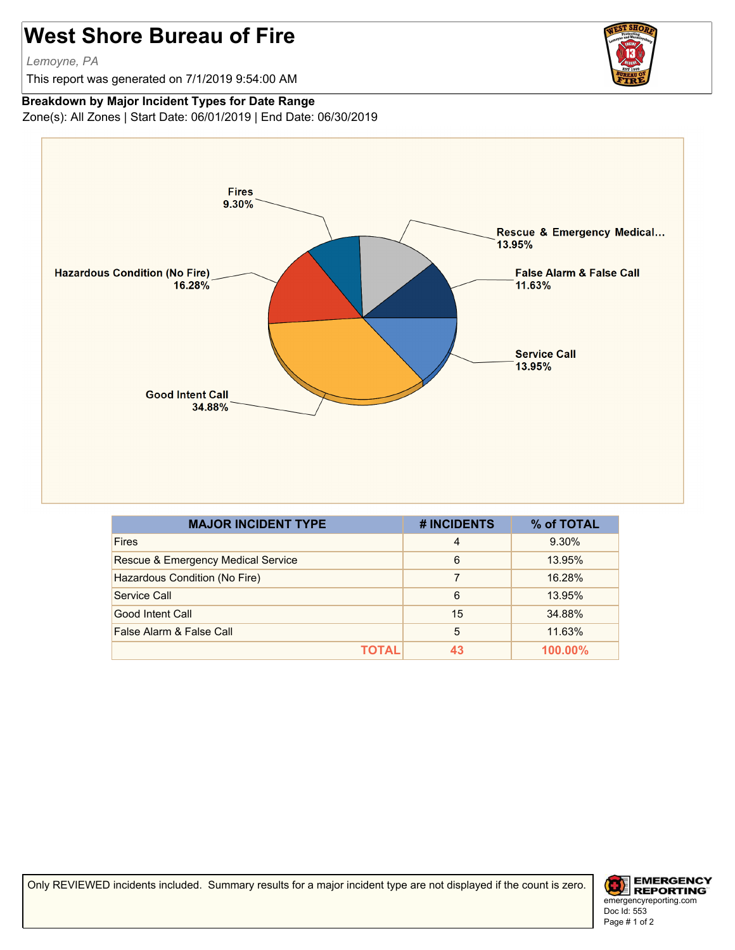## **West Shore Bureau of Fire**

*Lemoyne, PA*

This report was generated on 7/1/2019 9:54:00 AM



## **Breakdown by Major Incident Types for Date Range**

Zone(s): All Zones | Start Date: 06/01/2019 | End Date: 06/30/2019



| <b>MAJOR INCIDENT TYPE</b>         | # INCIDENTS    | % of TOTAL |
|------------------------------------|----------------|------------|
| <b>Fires</b>                       | $\overline{4}$ | 9.30%      |
| Rescue & Emergency Medical Service | 6              | 13.95%     |
| Hazardous Condition (No Fire)      | 7              | 16.28%     |
| Service Call                       | 6              | 13.95%     |
| Good Intent Call                   | 15             | 34.88%     |
| False Alarm & False Call           | 5              | 11.63%     |
| ΤΟΤΑL                              | 43             | 100.00%    |

Only REVIEWED incidents included. Summary results for a major incident type are not displayed if the count is zero.